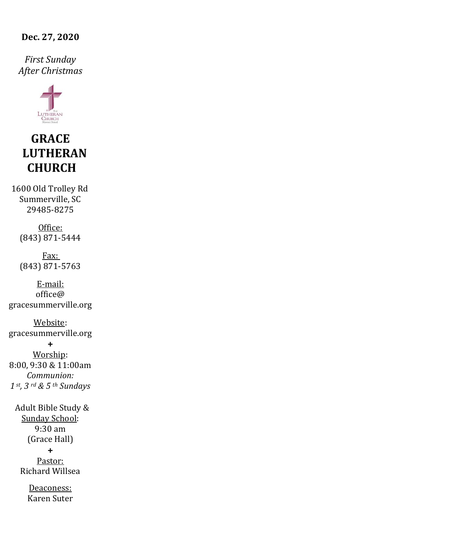**Dec. 27, 2020**

*First Sunday After Christmas*



# **GRACE LUTHERAN CHURCH**

1600 Old Trolley Rd Summerville, SC 29485-8275

> Office: (843) 871-5444

> Fax: (843) 871-5763

E-mail:  $office@$ gracesummerville.org

Website: gracesummerville.org

**+** Worship: 8:00, 9:30 & 11:00am *Communion: 1 st, 3 rd & 5 th Sundays*

 Adult Bible Study & Sunday School: 9:30 am (Grace Hall) **+** Pastor: Richard Willsea

> Deaconess: Karen Suter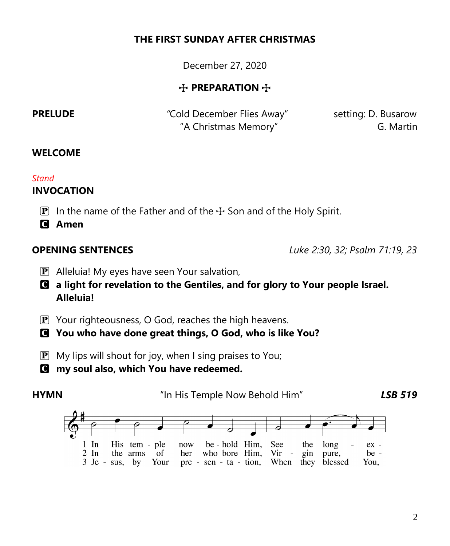# **THE FIRST SUNDAY AFTER CHRISTMAS**

December 27, 2020

# $+$  **PREPARATION**  $+$

**PRELUDE** *PRELUDE PRELUDE Cold December Flies Away setting: D. Busarow* "A Christmas Memory" G. Martin

## **WELCOME**

## *Stand*

# **INVOCATION**

**P** In the name of the Father and of the  $\div$  Son and of the Holy Spirit.

C **Amen**

**OPENING SENTENCES** *Luke 2:30, 32; Psalm 71:19, 23*

P Alleluia! My eyes have seen Your salvation,

C **a light for revelation to the Gentiles, and for glory to Your people Israel. Alleluia!**

P Your righteousness, O God, reaches the high heavens.

C **You who have done great things, O God, who is like You?**

- $\mathbf{P}$  My lips will shout for joy, when I sing praises to You;
- C **my soul also, which You have redeemed.**

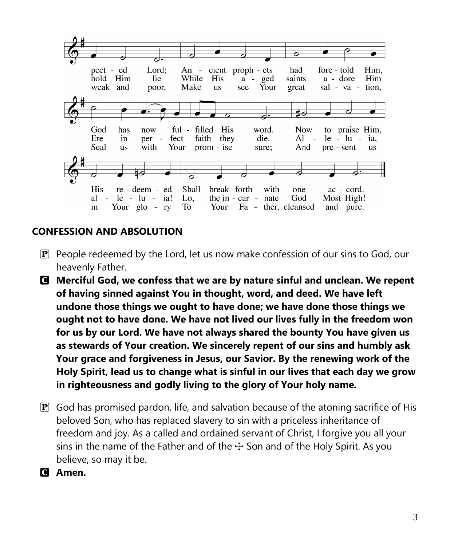

# **CONFESSION AND ABSOLUTION**

- $\mathbf{P}$  People redeemed by the Lord, let us now make confession of our sins to God, our heavenly Father.
- C **Merciful God, we confess that we are by nature sinful and unclean. We repent of having sinned against You in thought, word, and deed. We have left undone those things we ought to have done; we have done those things we ought not to have done. We have not lived our lives fully in the freedom won for us by our Lord. We have not always shared the bounty You have given us as stewards of Your creation. We sincerely repent of our sins and humbly ask Your grace and forgiveness in Jesus, our Savior. By the renewing work of the Holy Spirit, lead us to change what is sinful in our lives that each day we grow in righteousness and godly living to the glory of Your holy name.**
- $\mathbf{P}$  God has promised pardon, life, and salvation because of the atoning sacrifice of His beloved Son, who has replaced slavery to sin with a priceless inheritance of freedom and joy. As a called and ordained servant of Christ, I forgive you all your sins in the name of the Father and of the  $\pm$  Son and of the Holy Spirit. As you believe, so may it be.
- C **Amen.**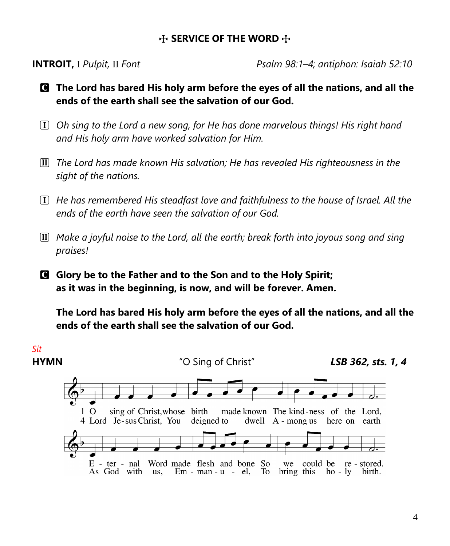### $+$  **SERVICE OF THE WORD**  $+$

**INTROIT,** I *Pulpit,* II *Font Psalm 98:1–4; antiphon: Isaiah 52:10*

- C **The Lord has bared His holy arm before the eyes of all the nations, and all the ends of the earth shall see the salvation of our God.**
- ! *Oh sing to the Lord a new song, for He has done marvelous things! His right hand and His holy arm have worked salvation for Him.*
- $\overline{II}$  The Lord has made known His salvation; He has revealed His righteousness in the *sight of the nations.*
- ! *He has remembered His steadfast love and faithfulness to the house of Israel. All the ends of the earth have seen the salvation of our God.*
- @ *Make a joyful noise to the Lord, all the earth; break forth into joyous song and sing praises!*
- C **Glory be to the Father and to the Son and to the Holy Spirit; as it was in the beginning, is now, and will be forever. Amen.**

**The Lord has bared His holy arm before the eyes of all the nations, and all the ends of the earth shall see the salvation of our God.**

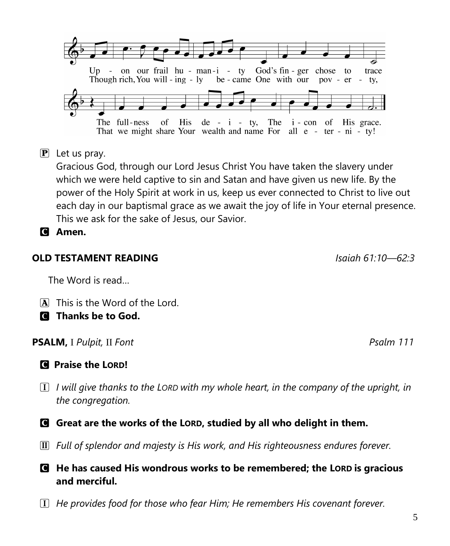$\sigma$ The full-ness His de -  $i$  - ty, The  $i$  - con of His grace. That we might share Your wealth and name For all e - ter - ni - ty!  $\overline{P}$  Let us pray. Gracious God, through our Lord Jesus Christ You have taken the slavery under

which we were held captive to sin and Satan and have given us new life. By the power of the Holy Spirit at work in us, keep us ever connected to Christ to live out each day in our baptismal grace as we await the joy of life in Your eternal presence. This we ask for the sake of Jesus, our Savior.

C **Amen.**

# **OLD TESTAMENT READING** *Isaiah 61:10—62:3*

The Word is read…

- A This is the Word of the Lord.
- C **Thanks be to God.**

# **PSALM,** I *Pulpit,* II *Font Psalm 111*

# C **Praise the LORD!**

- ! *I will give thanks to the LORD with my whole heart, in the company of the upright, in the congregation.*
- C **Great are the works of the LORD, studied by all who delight in them.**
- @ *Full of splendor and majesty is His work, and His righteousness endures forever.*

# C **He has caused His wondrous works to be remembered; the LORD is gracious and merciful.**

! *He provides food for those who fear Him; He remembers His covenant forever.*

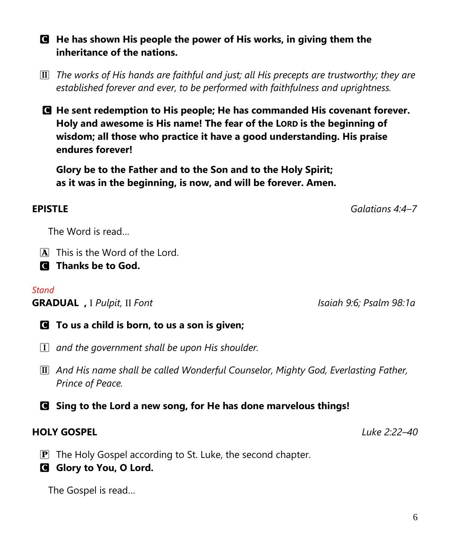C **He has shown His people the power of His works, in giving them the inheritance of the nations.**

@ *The works of His hands are faithful and just; all His precepts are trustworthy; they are established forever and ever, to be performed with faithfulness and uprightness.*

C **He sent redemption to His people; He has commanded His covenant forever. Holy and awesome is His name! The fear of the LORD is the beginning of wisdom; all those who practice it have a good understanding. His praise endures forever!**

**Glory be to the Father and to the Son and to the Holy Spirit; as it was in the beginning, is now, and will be forever. Amen.**

## **EPISTLE** *Galatians 4:4–7*

The Word is read…

A This is the Word of the Lord.

C **Thanks be to God.**

### *Stand*

**GRADUAL ,** I *Pulpit,* II *Font Isaiah 9:6; Psalm 98:1a*

- C **To us a child is born, to us a son is given;**
- ! *and the government shall be upon His shoulder.*
- @ *And His name shall be called Wonderful Counselor, Mighty God, Everlasting Father, Prince of Peace.*
- C **Sing to the Lord a new song, for He has done marvelous things!**

# **HOLY GOSPEL** *Luke 2:22–40*

- $\mathbf{P}$  The Holy Gospel according to St. Luke, the second chapter.
- **G** Glory to You, O Lord.

The Gospel is read…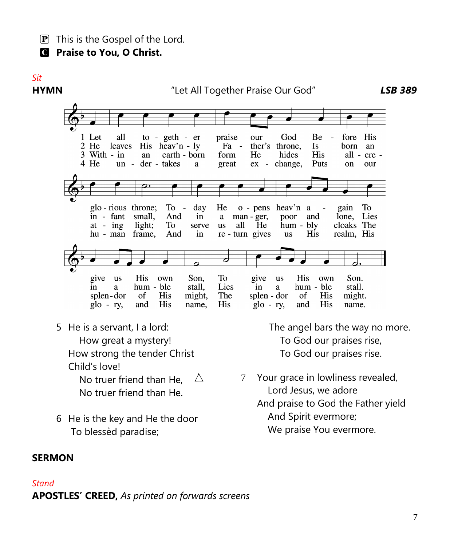$\boxed{\mathbf{P}}$  This is the Gospel of the Lord.

C **Praise to You, O Christ.**

# *Sit*

# **HYMN** "Let All Together Praise Our God"*LSB 389*



 No truer friend than He, No truer friend than He.

6 He is the key and He the door To blessèd paradise;

The angel bars the way no more.

 $\triangle$  7 Your grace in lowliness revealed, Lord Jesus, we adore And praise to God the Father yield And Spirit evermore; We praise You evermore.

### **SERMON**

### *Stand*

**APOSTLES' CREED,** *As printed on forwards screens*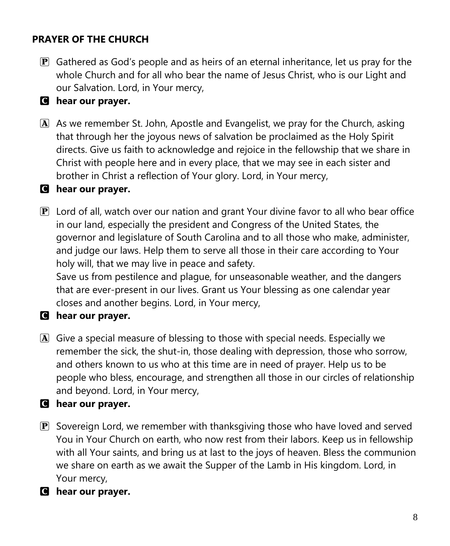# **PRAYER OF THE CHURCH**

- $\mathbf{P}$  Gathered as God's people and as heirs of an eternal inheritance, let us pray for the whole Church and for all who bear the name of Jesus Christ, who is our Light and our Salvation. Lord, in Your mercy,
- C **hear our prayer.**
- A As we remember St. John, Apostle and Evangelist, we pray for the Church, asking that through her the joyous news of salvation be proclaimed as the Holy Spirit directs. Give us faith to acknowledge and rejoice in the fellowship that we share in Christ with people here and in every place, that we may see in each sister and brother in Christ a reflection of Your glory. Lord, in Your mercy,

### C **hear our prayer.**

 $\mathbf{P}$  Lord of all, watch over our nation and grant Your divine favor to all who bear office in our land, especially the president and Congress of the United States, the governor and legislature of South Carolina and to all those who make, administer, and judge our laws. Help them to serve all those in their care according to Your holy will, that we may live in peace and safety.

Save us from pestilence and plague, for unseasonable weather, and the dangers that are ever-present in our lives. Grant us Your blessing as one calendar year closes and another begins. Lord, in Your mercy,

### C **hear our prayer.**

- A Give a special measure of blessing to those with special needs. Especially we remember the sick, the shut-in, those dealing with depression, those who sorrow, and others known to us who at this time are in need of prayer. Help us to be people who bless, encourage, and strengthen all those in our circles of relationship and beyond. Lord, in Your mercy,
- C **hear our prayer.**
- $\mathbf{P}$  Sovereign Lord, we remember with thanksgiving those who have loved and served You in Your Church on earth, who now rest from their labors. Keep us in fellowship with all Your saints, and bring us at last to the joys of heaven. Bless the communion we share on earth as we await the Supper of the Lamb in His kingdom. Lord, in Your mercy,
- C **hear our prayer.**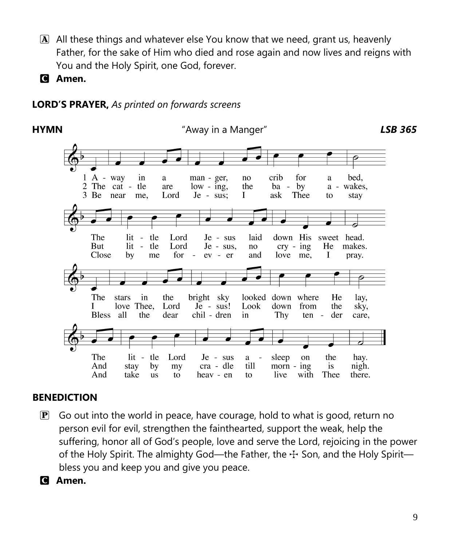- $\overline{A}$  All these things and whatever else You know that we need, grant us, heavenly Father, for the sake of Him who died and rose again and now lives and reigns with You and the Holy Spirit, one God, forever.
- C **Amen.**

# **LORD'S PRAYER,** *As printed on forwards screens*



# **BENEDICTION**

- $\mathbf{P}$  Go out into the world in peace, have courage, hold to what is good, return no person evil for evil, strengthen the fainthearted, support the weak, help the suffering, honor all of God's people, love and serve the Lord, rejoicing in the power of the Holy Spirit. The almighty God—the Father, the  $\pm$  Son, and the Holy Spirit bless you and keep you and give you peace.
- C **Amen.**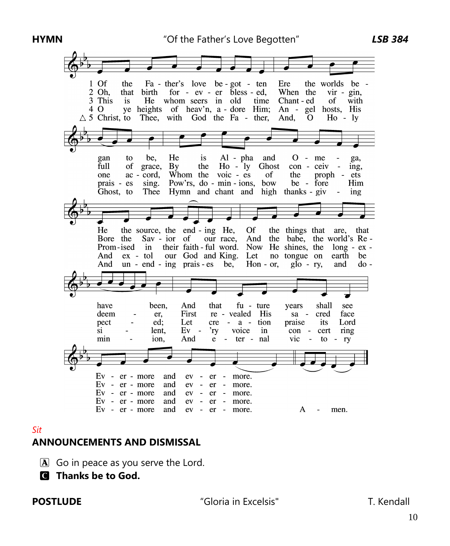

### *Sit*

# **ANNOUNCEMENTS AND DISMISSAL**

- $\mathbf{\overline{A}}$  Go in peace as you serve the Lord.
- C **Thanks be to God.**